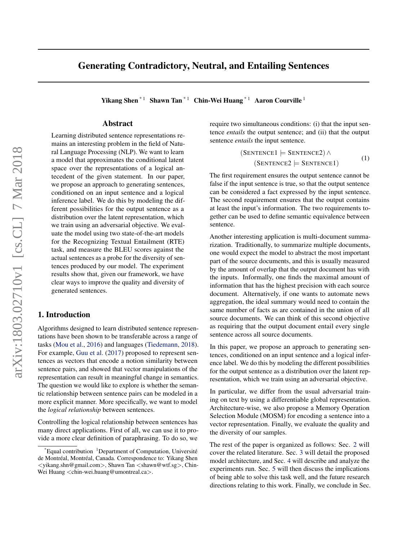# Generating Contradictory, Neutral, and Entailing Sentences

Yikang Shen<sup>\*1</sup> Shawn Tan<sup>\*1</sup> Chin-Wei Huang<sup>\*1</sup> Aaron Courville<sup>1</sup>

# Abstract

Learning distributed sentence representations remains an interesting problem in the field of Natural Language Processing (NLP). We want to learn a model that approximates the conditional latent space over the representations of a logical antecedent of the given statement. In our paper, we propose an approach to generating sentences, conditioned on an input sentence and a logical inference label. We do this by modeling the different possibilities for the output sentence as a distribution over the latent representation, which we train using an adversarial objective. We evaluate the model using two state-of-the-art models for the Recognizing Textual Entailment (RTE) task, and measure the BLEU scores against the actual sentences as a probe for the diversity of sentences produced by our model. The experiment results show that, given our framework, we have clear ways to improve the quality and diversity of generated sentences.

# 1. Introduction

Algorithms designed to learn distributed sentence representations have been shown to be transferable across a range of tasks [\(Mou et al.,](#page-8-0) [2016\)](#page-8-0) and languages [\(Tiedemann,](#page-8-0) [2018\)](#page-8-0). For example, [Guu et al.](#page-8-0) [\(2017\)](#page-8-0) proposed to represent sentences as vectors that encode a notion similarity between sentence pairs, and showed that vector manipulations of the representation can result in meaningful change in semantics. The question we would like to explore is whether the semantic relationship between sentence pairs can be modeled in a more explicit manner. More specifically, we want to model the *logical relationship* between sentences.

Controlling the logical relationship between sentences has many direct applications. First of all, we can use it to provide a more clear definition of paraphrasing. To do so, we

require two simultaneous conditions: (i) that the input sentence *entails* the output sentence; and (ii) that the output sentence *entails* the input sentence.

$$
(\text{SENTENCE1} \models \text{SENTENCE2}) \land (\text{SENTENCE2} \models \text{SENTENCE1})
$$
(1)

The first requirement ensures the output sentence cannot be false if the input sentence is true, so that the output sentence can be considered a fact expressed by the input sentence. The second requirement ensures that the output contains at least the input's information. The two requirements together can be used to define semantic equivalence between sentence.

Another interesting application is multi-document summarization. Traditionally, to summarize multiple documents, one would expect the model to abstract the most important part of the source documents, and this is usually measured by the amount of overlap that the output document has with the inputs. Informally, one finds the maximal amount of information that has the highest precision with each source document. Alternatively, if one wants to automate news aggregation, the ideal summary would need to contain the same number of facts as are contained in the union of all source documents. We can think of this second objective as requiring that the output document entail every single sentence across all source documents.

In this paper, we propose an approach to generating sentences, conditioned on an input sentence and a logical inference label. We do this by modeling the different possibilities for the output sentence as a distribution over the latent representation, which we train using an adversarial objective.

In particular, we differ from the usual adversarial training on text by using a differentiable global representation. Architecture-wise, we also propose a Memory Operation Selection Module (MOSM) for encoding a sentence into a vector representation. Finally, we evaluate the quality and the diversity of our samples.

The rest of the paper is organized as follows: Sec. [2](#page-1-0) will cover the related literature. Sec. [3](#page-1-0) will detail the proposed model architecture, and Sec. [4](#page-4-0) will describe and analyze the experiments run. Sec. [5](#page-7-0) will then discuss the implications of being able to solve this task well, and the future research directions relating to this work. Finally, we conclude in Sec.

 $E$ qual contribution <sup>1</sup>Department of Computation, Université de Montréal, Montréal, Canada. Correspondence to: Yikang Shen <yikang.shn@gmail.com>, Shawn Tan <shawn@wtf.sg>, Chin-Wei Huang <chin-wei.huang@umontreal.ca>.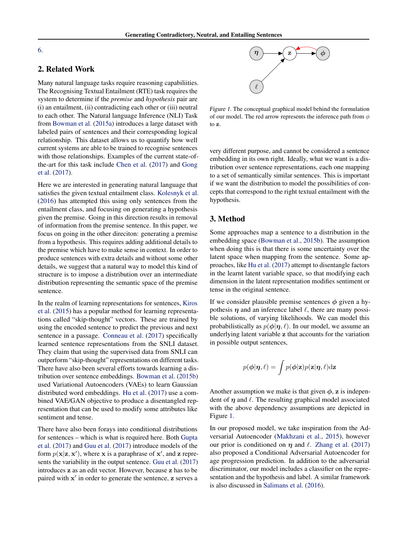<span id="page-1-0"></span>[6.](#page-7-0)

# 2. Related Work

Many natural language tasks require reasoning capabiliities. The Recognising Textual Entailment (RTE) task requires the system to determine if the *premise* and *hypothesis* pair are (i) an entailment, (ii) contradicting each other or (iii) neutral to each other. The Natural language Inference (NLI) Task from [Bowman et al.](#page-7-0) [\(2015a\)](#page-7-0) introduces a large dataset with labeled pairs of sentences and their corresponding logical relationship. This dataset allows us to quantify how well current systems are able to be trained to recognise sentences with those relationships. Examples of the current state-ofthe-art for this task include [Chen et al.](#page-8-0) [\(2017\)](#page-8-0) and [Gong](#page-8-0) [et al.](#page-8-0) [\(2017\)](#page-8-0).

Here we are interested in generating natural language that satisfies the given textual entailment class. [Kolesnyk et al.](#page-8-0) [\(2016\)](#page-8-0) has attempted this using only sentences from the entailment class, and focusing on generating a hypothesis given the premise. Going in this direction results in removal of information from the premise sentence. In this paper, we focus on going in the other direciton: generating a premise from a hypothesis. This requires adding additional details to the premise which have to make sense in context. In order to produce sentences with extra details and without some other details, we suggest that a natural way to model this kind of structure is to impose a distribution over an intermediate distribution representing the semantic space of the premise sentence.

In the realm of learning representations for sentences, [Kiros](#page-8-0) [et al.](#page-8-0) [\(2015\)](#page-8-0) has a popular method for learning representations called "skip-thought" vectors. These are trained by using the encoded sentence to predict the previous and next sentence in a passage. [Conneau et al.](#page-8-0) [\(2017\)](#page-8-0) specifically learned sentence representations from the SNLI dataset. They claim that using the supervised data from SNLI can outperform "skip-thought" representations on different tasks. There have also been several efforts towards learning a distribution over sentence embeddings. [Bowman et al.](#page-7-0) [\(2015b\)](#page-7-0) used Variational Autoencoders (VAEs) to learn Gaussian distributed word embeddings. [Hu et al.](#page-8-0) [\(2017\)](#page-8-0) use a combined VAE/GAN objective to produce a disentangled representation that can be used to modify some attributes like sentiment and tense.

There have also been forays into conditional distributions for sentences – which is what is required here. Both [Gupta](#page-8-0) [et al.](#page-8-0) [\(2017\)](#page-8-0) and [Guu et al.](#page-8-0) [\(2017\)](#page-8-0) introduce models of the form  $p(x|z, x')$ , where x is a paraphrase of x', and z represents the variability in the output sentence. [Guu et al.](#page-8-0) [\(2017\)](#page-8-0) introduces z as an edit vector. However, because z has to be paired with x' in order to generate the sentence, z serves a



Figure 1. The conceptual graphical model behind the formulation of our model. The red arrow represents the inference path from  $\phi$ to z.

very different purpose, and cannot be considered a sentence embedding in its own right. Ideally, what we want is a distribution over sentence representations, each one mapping to a set of semantically similar sentences. This is important if we want the distribution to model the possibilities of concepts that correspond to the right textual entailment with the hypothesis.

# 3. Method

Some approaches map a sentence to a distribution in the embedding space [\(Bowman et al.,](#page-7-0) [2015b\)](#page-7-0). The assumption when doing this is that there is some uncertainty over the latent space when mapping from the sentence. Some approaches, like [Hu et al.](#page-8-0) [\(2017\)](#page-8-0) attempt to disentangle factors in the learnt latent variable space, so that modifying each dimension in the latent representation modifies sentiment or tense in the original sentence.

If we consider plausible premise sentences  $\phi$  given a hypothesis  $\eta$  and an inference label  $\ell$ , there are many possible solutions, of varying likelihoods. We can model this probabilistically as  $p(\phi | \eta, \ell)$ . In our model, we assume an underlying latent variable z that accounts for the variation in possible output sentences,

$$
p(\boldsymbol{\phi}|\boldsymbol{\eta},\ell) = \int p(\boldsymbol{\phi}|\mathbf{z})p(\mathbf{z}|\boldsymbol{\eta},\ell)\mathrm{d}\mathbf{z}
$$

Another assumption we make is that given  $\phi$ , z is independent of  $\eta$  and  $\ell$ . The resulting graphical model associated with the above dependency assumptions are depicted in Figure 1.

In our proposed model, we take inspiration from the Adversarial Autoencoder [\(Makhzani et al.,](#page-8-0) [2015\)](#page-8-0), however our prior is conditioned on  $\eta$  and  $\ell$ . [Zhang et al.](#page-8-0) [\(2017\)](#page-8-0) also proposed a Conditional Adversarial Autoencoder for age progression prediction. In addition to the adversarial discriminator, our model includes a classifier on the representation and the hypothesis and label. A similar framework is also discussed in [Salimans et al.](#page-8-0) [\(2016\)](#page-8-0).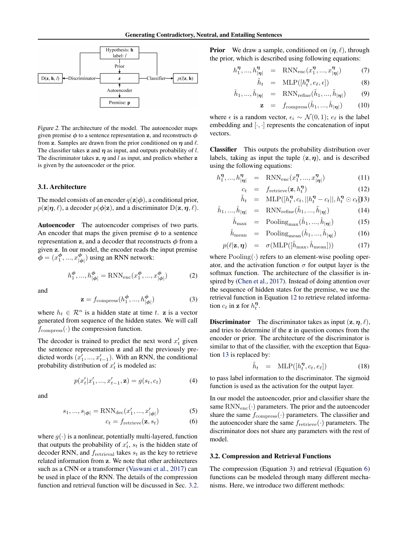

Figure 2. The architecture of the model. The autoencoder maps given premise  $\phi$  to a sentence representation z, and reconstructs  $\phi$ from z. Samples are drawn from the prior conditioned on  $\eta$  and  $\ell$ . The classifier takes z and  $\eta$  as input, and outputs probability of l. The discriminator takes  $z$ ,  $\eta$  and l as input, and predicts whether  $z$ is given by the autoencoder or the prior.

#### 3.1. Architecture

The model consists of an encoder  $q(\mathbf{z}|\boldsymbol{\phi})$ , a conditional prior,  $p(\mathbf{z}|\boldsymbol{\eta}, \ell)$ , a decoder  $p(\boldsymbol{\phi}|\mathbf{z})$ , and a discriminator  $D(\mathbf{z}, \boldsymbol{\eta}, \ell)$ .

Autoencoder The autoencoder comprises of two parts. An encoder that maps the given premise  $\phi$  to a sentence representation z, and a decoder that reconstructs  $\phi$  from a given z. In our model, the encoder reads the input premise  $\phi = (x_1^{\phi}, ..., x_{|q}^{\phi})$  $\binom{\varphi}{|\varphi|}$  using an RNN network:

$$
h_1^{\phi}, ..., h_{|\phi|}^{\phi} = \text{RNN}_{\text{enc}}(x_1^{\phi}, ..., x_{|\phi|}^{\phi})
$$
 (2)

and

$$
\mathbf{z} = f_{\text{compress}}(h_1^{\phi}, ..., h_{|\phi|}^{\phi})
$$
 (3)

where  $h_t \in \mathcal{R}^n$  is a hidden state at time t. z is a vector generated from sequence of the hidden states. We will call  $f_{\text{compress}}(\cdot)$  the compression function.

The decoder is trained to predict the next word  $x'_t$  given the sentence representation z and all the previously predicted words  $(x'_1, ..., x'_{t-1})$ . With an RNN, the conditional probability distribution of  $x'_t$  is modeled as:

$$
p(x'_t|x'_1, ..., x'_{t-1}, \mathbf{z}) = g(s_t, c_t)
$$
\n(4)

and

$$
s_1, ..., s_{|\phi|} = \text{RNN}_{\text{dec}}(x'_1, ..., x'_{|\phi|})
$$
 (5)

$$
c_t = f_{\text{retrieve}}(\mathbf{z}, s_t) \tag{6}
$$

where  $g(\cdot)$  is a nonlinear, potentially multi-layered, function that outputs the probability of  $x_t$ ,  $s_t$  is the hidden state of decoder RNN, and  $f_{\text{retrieval}}$  takes  $s_t$  as the key to retrieve related information from z. We note that other architectures such as a CNN or a transformer [\(Vaswani et al.,](#page-8-0) [2017\)](#page-8-0) can be used in place of the RNN. The details of the compression function and retrieval function will be discussed in Sec. 3.2. **Prior** We draw a sample, conditioned on  $(\eta, \ell)$ , through the prior, which is described using following equations:

$$
h_1^{\eta}, ..., h_{|\eta|}^{\eta} = \text{RNN}_{\text{enc}}(x_1^{\eta}, ..., x_{|\eta|}^{\eta}) \tag{7}
$$

$$
\tilde{h}_t = \text{MLP}([h_t^{\eta}, e_\ell, \epsilon]) \tag{8}
$$

$$
\hat{h}_1, ..., \hat{h}_{|\eta|} = \text{RNN}_{\text{refine}}(\tilde{h}_1, ..., \tilde{h}_{|\eta|}) \tag{9}
$$

$$
\mathbf{z} = f_{\text{compress}}(\hat{h}_1, ..., \hat{h}_{|\boldsymbol{\eta}|}) \tag{10}
$$

where  $\epsilon$  is a random vector,  $\epsilon_i$  ∼  $\mathcal{N}(0, 1)$ ;  $e_{\ell}$  is the label embedding and  $[\cdot, \cdot]$  represents the concatenation of input vectors.

Classifier This outputs the probability distribution over labels, taking as input the tuple  $(z, \eta)$ , and is described using the following equations:

$$
h_1^{\eta}, ..., h_{|\eta|}^{\eta} = \text{RNN}_{\text{enc}}(x_1^{\eta}, ..., x_{|\eta|}^{\eta}) \tag{11}
$$

$$
c_t = f_{\text{retrieve}}(\mathbf{z}, h_t^{\eta}) \tag{12}
$$

$$
\tilde{h}_t = \text{MLP}([h_t^{\eta}, c_t, || h_t^{\eta} - c_t ||, h_t^{\eta} \odot c_t])3)
$$

$$
\hat{h}_1, \dots, \hat{h}_{|\eta|} = \text{RNN}_{\text{refine}}(\tilde{h}_1, \dots, \tilde{h}_{|\eta|}) \tag{14}
$$

$$
\hat{h}_{\text{max}} = \text{Pooling}_{\text{max}}(\hat{h}_1, ..., \hat{h}_{|\boldsymbol{\eta}|}) \tag{15}
$$

$$
\hat{h}_{\text{mean}} = \text{Pooling}_{\text{mean}}(\hat{h}_1, ..., \hat{h}_{|\eta|}) \tag{16}
$$

$$
p(\ell | \mathbf{z}, \boldsymbol{\eta}) = \sigma(\text{MLP}([\hat{h}_{\text{max}}, \hat{h}_{\text{mean}}])) \tag{17}
$$

where  $Pooling(\cdot)$  refers to an element-wise pooling operator, and the activation function  $\sigma$  for output layer is the softmax function. The architecture of the classifier is inspired by [\(Chen et al.,](#page-8-0) [2017\)](#page-8-0). Instead of doing attention over the sequence of hidden states for the premise, we use the retrieval function in Equation 12 to retrieve related information  $c_t$  in z for  $h_t^{\eta}$ .

**Discriminator** The discriminator takes as input  $(\mathbf{z}, \eta, \ell)$ , and tries to determine if the z in question comes from the encoder or prior. The architecture of the discriminator is similar to that of the classifier, with the exception that Equation 13 is replaced by:

$$
\tilde{h}_t = \text{MLP}([h_t^{\eta}, c_t, e_\ell]) \tag{18}
$$

to pass label information to the discriminator. The sigmoid function is used as the activation for the output layer.

In our model the autoencoder, prior and classifier share the same  $RNN_{\text{enc}}(\cdot)$  parameters. The prior and the autoencoder share the same  $f_{\text{compress}}(\cdot)$  parameters. The classifier and the autoencoder share the same  $f_{\text{retrieve}}(\cdot)$  parameters. The discriminator does not share any parameters with the rest of model.

#### 3.2. Compression and Retrieval Functions

The compression (Equation 3) and retrieval (Equation 6) functions can be modeled through many different mechanisms. Here, we introduce two different methods: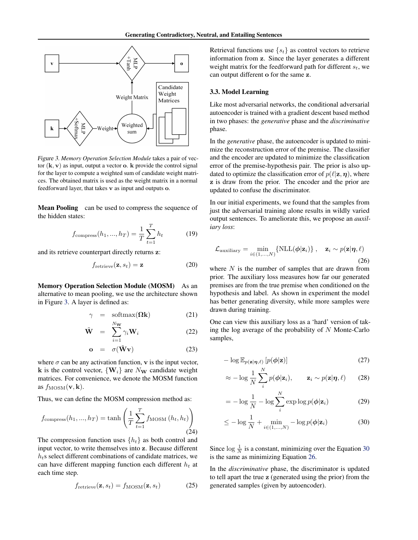<span id="page-3-0"></span>

Figure 3. *Memory Operation Selection Module* takes a pair of vector  $(k, v)$  as input, output a vector **o**. **k** provide the control signal for the layer to compute a weighted sum of candidate weight matrices. The obtained matrix is used as the weight matrix in a normal feedforward layer, that takes v as input and outputs o.

Mean Pooling can be used to compress the sequence of the hidden states:

$$
f_{\text{compress}}(h_1, ..., h_T) = \frac{1}{T} \sum_{t=1}^{T} h_t
$$
 (19)

and its retrieve counterpart directly returns z:

$$
f_{\text{retrieve}}(\mathbf{z}, s_t) = \mathbf{z}
$$
 (20)

Memory Operation Selection Module (MOSM) As an alternative to mean pooling, we use the architecture shown in Figure 3. A layer is defined as:

$$
\gamma = \text{softmax}(\Omega \mathbf{k}) \tag{21}
$$

$$
\tilde{\mathbf{W}} = \sum_{i=1}^{N_{\mathbf{W}}} \gamma_i \mathbf{W}_i \tag{22}
$$

$$
\mathbf{o} = \sigma(\tilde{\mathbf{W}}\mathbf{v}) \tag{23}
$$

where  $\sigma$  can be any activation function, **v** is the input vector, k is the control vector,  ${W_i}$  are  $N_w$  candidate weight matrices. For convenience, we denote the MOSM function as  $f_{\text{MOSM}}(\mathbf{v}, \mathbf{k})$ .

Thus, we can define the MOSM compression method as:

$$
f_{\text{compress}}(h_1, ..., h_T) = \tanh\left(\frac{1}{T} \sum_{t=1}^T f_{\text{MOSM}}(h_t, h_t)\right)
$$
\n(24)

The compression function uses  $\{h_t\}$  as both control and input vector, to write themselves into z. Because different  $h_t$ s select different combinations of candidate matrices, we can have different mapping function each different  $h_t$  at each time step.

$$
f_{\text{retrieve}}(\mathbf{z}, s_t) = f_{\text{MOSM}}(\mathbf{z}, s_t)
$$
 (25)

Retrieval functions use  $\{s_t\}$  as control vectors to retrieve information from z. Since the layer generates a different weight matrix for the feedforward path for different  $s_t$ , we can output different o for the same z.

### 3.3. Model Learning

Like most adversarial networks, the conditional adversarial autoencoder is trained with a gradient descent based method in two phases: the *generative* phase and the *discriminative* phase.

In the *generative* phase, the autoencoder is updated to minimize the reconstruction error of the premise. The classifier and the encoder are updated to minimize the classification error of the premise-hypothesis pair. The prior is also updated to optimize the classification error of  $p(\ell|\mathbf{z}, \boldsymbol{\eta})$ , where z is draw from the prior. The encoder and the prior are updated to confuse the discriminator.

In our initial experiments, we found that the samples from just the adversarial training alone results in wildly varied output sentences. To ameliorate this, we propose an *auxiliary loss*:

$$
\mathcal{L}_{\text{auxiliary}} = \min_{i \in (1,...,N)} \{ \text{NLL}(\boldsymbol{\phi}|\mathbf{z}_i) \}, \quad \mathbf{z}_i \sim p(\mathbf{z}|\boldsymbol{\eta}, \ell)
$$
\n(26)

where  $N$  is the number of samples that are drawn from prior. The auxiliary loss measures how far our generated premises are from the true premise when conditioned on the hypothesis and label. As shown in experiment the model has better generating diversity, while more samples were drawn during training.

One can view this auxiliary loss as a 'hard' version of taking the log average of the probability of  $N$  Monte-Carlo samples,

$$
-\log \mathbb{E}_{p(\mathbf{z}|\boldsymbol{\eta},\ell)}\left[p(\boldsymbol{\phi}|\mathbf{z})\right]
$$
 (27)

$$
\approx -\log \frac{1}{N} \sum_{i}^{N} p(\phi | \mathbf{z}_i), \qquad \mathbf{z}_i \sim p(\mathbf{z} | \boldsymbol{\eta}, \ell) \qquad (28)
$$

$$
= -\log \frac{1}{N} - \log \sum_{i}^{N} \exp \log p(\phi | \mathbf{z}_i)
$$
 (29)

$$
\leq -\log\frac{1}{N} + \min_{i \in (1,\dots,N)} -\log p(\boldsymbol{\phi}|\mathbf{z}_i)
$$
\n(30)

Since  $\log \frac{1}{N}$  is a constant, minimizing over the Equation 30 is the same as minimizing Equation 26.

In the *discriminative* phase, the discriminator is updated to tell apart the true z (generated using the prior) from the generated samples (given by autoencoder).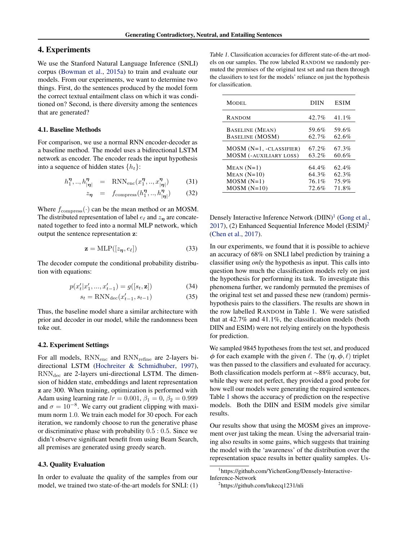# <span id="page-4-0"></span>4. Experiments

We use the Stanford Natural Language Inference (SNLI) corpus [\(Bowman et al.,](#page-7-0) [2015a\)](#page-7-0) to train and evaluate our models. From our experiments, we want to determine two things. First, do the sentences produced by the model form the correct textual entailment class on which it was conditioned on? Second, is there diversity among the sentences that are generated?

#### 4.1. Baseline Methods

For comparison, we use a normal RNN encoder-decoder as a baseline method. The model uses a bidirectional LSTM network as encoder. The encoder reads the input hypothesis into a sequence of hidden states  $\{h_t\}$ :

$$
h_1^{\eta}, \dots, h_{|\eta|}^{\eta} = \text{RNN}_{\text{enc}}(x_1^{\eta}, \dots, x_{|\eta|}^{\eta}) \tag{31}
$$

$$
z_{\eta} = f_{\text{compress}}(h_1^{\eta},..,h_{|\eta|}^{\eta}) \tag{32}
$$

Where  $f_{\text{compress}}(\cdot)$  can be the mean method or an MOSM. The distributed representation of label  $e_\ell$  and  $z_n$  are concatenated together to feed into a normal MLP network, which output the sentence representation z:

$$
\mathbf{z} = \text{MLP}([z_{\eta}, e_{\ell}]) \tag{33}
$$

The decoder compute the conditional probability distribution with equations:

$$
p(x'_{t}|x'_{1},...,x'_{t-1}) = g([s_{t},\mathbf{z}])
$$
\n(34)

$$
s_t = \text{RNN}_{\text{dec}}(x'_{t-1}, s_{t-1})\tag{35}
$$

Thus, the baseline model share a similar architecture with prior and decoder in our model, while the randomness been toke out.

#### 4.2. Experiment Settings

For all models, RNN<sub>enc</sub> and RNN<sub>refine</sub> are 2-layers bidirectional LSTM [\(Hochreiter & Schmidhuber,](#page-8-0) [1997\)](#page-8-0),  $RNN_{\text{dec}}$  are 2-layers uni-directional LSTM. The dimension of hidden state, embeddings and latent representation z are 300. When training, optimization is performed with Adam using learning rate  $lr = 0.001$ ,  $\beta_1 = 0$ ,  $\beta_2 = 0.999$ and  $\sigma = 10^{-8}$ . We carry out gradient clipping with maximum norm 1.0. We train each model for 30 epoch. For each iteration, we randomly choose to run the generative phase or discriminative phase with probability 0.5 : 0.5. Since we didn't observe significant benefit from using Beam Search, all premises are generated using greedy search.

#### 4.3. Quality Evaluation

In order to evaluate the quality of the samples from our model, we trained two state-of-the-art models for SNLI: (1)

Table 1. Classification accuracies for different state-of-the-art models on our samples. The row labeled RANDOM we randomly permuted the premises of the original test set and ran them through the classifiers to test for the models' reliance on just the hypothesis for classification.

| MODEL                         | DHN   | <b>ESIM</b> |
|-------------------------------|-------|-------------|
| RANDOM                        | 42.7% | $41.1\%$    |
| <b>BASELINE</b> (MEAN)        | 59.6% | 59.6%       |
| <b>BASELINE (MOSM)</b>        | 62.7% | 62.6%       |
| $MOSM$ ( $N=1$ , -CLASSIFIER) | 67.2% | 67.3%       |
| <b>MOSM (-AUXILIARY LOSS)</b> | 63.2% | 60.6%       |
| $MEAN (N=1)$                  | 64.4% | 62.4%       |
| $MEAN (N=10)$                 | 64.3% | 62.3%       |
| $MOSM(N=1)$                   | 76.1% | 75.9%       |
| $MOSM(N=10)$                  | 72.6% | 71.8%       |

Densely Interactive Inference Network (DIIN)<sup>1</sup> [\(Gong et al.,](#page-8-0) [2017\)](#page-8-0), (2) Enhanced Sequential Inference Model  $(ESIM)^2$ [\(Chen et al.,](#page-8-0) [2017\)](#page-8-0).

In our experiments, we found that it is possible to achieve an accuracy of 68% on SNLI label prediction by training a classifier using *only* the hypothesis as input. This calls into question how much the classification models rely on just the hypothesis for performing its task. To investigate this phenomena further, we randomly permuted the premises of the original test set and passed these new (random) permishypothesis pairs to the classifiers. The results are shown in the row labelled RANDOM in Table 1. We were satisfied that at 42.7% and 41.1%, the classification models (both DIIN and ESIM) were not relying entirely on the hypothesis for prediction.

We sampled 9845 hypotheses from the test set, and produced  $\phi$  for each example with the given  $\ell$ . The  $(\eta, \phi, \ell)$  triplet was then passed to the classifiers and evaluated for accuracy. Both classification models perform at ∼88% accuracy, but, while they were not perfect, they provided a good probe for how well our models were generating the required sentences. Table 1 shows the accuracy of prediction on the respective models. Both the DIIN and ESIM models give similar results.

Our results show that using the MOSM gives an improvement over just taking the mean. Using the adversarial training also results in some gains, which suggests that training the model with the 'awareness' of the distribution over the representation space results in better quality samples. Us-

<sup>&</sup>lt;sup>1</sup>https://github.com/YichenGong/Densely-Interactive-Inference-Network <sup>2</sup>https://github.com/lukecq1231/nli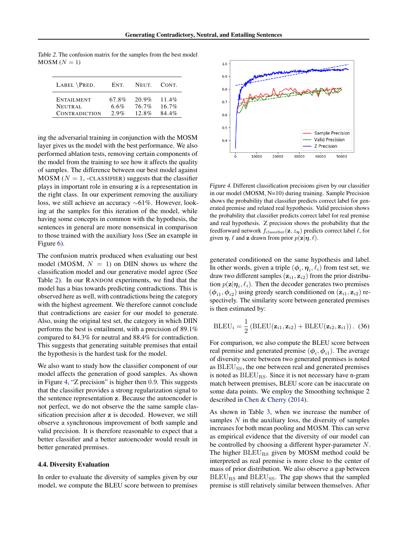Table 2. The confusion matrix for the samples from the best model  $MOSM (N = 1)$ 

| LABEL \PRED.         | ENT.  | NEUT.    | CONT.    |
|----------------------|-------|----------|----------|
| <b>ENTAILMENT</b>    | 67.8% | 20.9%    | 11.4%    |
| NEUTRAL              | 6.6%  | $76.7\%$ | $16.7\%$ |
| <b>CONTRADICTION</b> | 2.9%  | $12.8\%$ | $84.4\%$ |

ing the adversarial training in conjunction with the MOSM layer gives us the model with the best performance. We also performed ablation tests, removing certain components of the model from the training to see how it affects the quality of samples. The difference between our best model against  $MOSM$  ( $N = 1$ , -CLASSIFIER) suggests that the classifier plays in important role in ensuring z is a representation in the right class. In our experiment removing the auxiliary loss, we still achieve an accuracy ∼61%. However, looking at the samples for this iteration of the model, while having some concepts in common with the hypothesis, the sentences in general are more nonsensical in comparison to those trained with the auxiliary loss (See an example in Figure [6\)](#page-6-0).

The confusion matrix produced when evaluating our best model (MOSM,  $N = 1$ ) on DIIN shows us where the classification model and our generative model agree (See Table 2). In our RANDOM experiments, we find that the model has a bias towards predicting contradictions. This is observed here as well, with contradictions being the category with the highest agreement. We therefore cannot conclude that contradictions are easier for our model to generate. Also, using the original test set, the category in which DIIN performs the best is entailment, with a precision of 89.1% compared to 84.3% for neutral and 88.4% for contradiction. This suggests that generating suitable premises that entail the hypothesis is the hardest task for the model.

We also want to study how the classifier component of our model affects the generation of good samples. As shown in Figure 4, "Z precision" is higher then 0.9. This suggests that the classifier provides a strong regularization signal to the sentence representation z. Because the autoencoder is not perfect, we do not observe the the same sample classification precision after z is decoded. However, we still observe a synchronous improvement of both sample and valid precision. It is therefore reasonable to expect that a better classifier and a better autoencoder would result in better generated premises.

#### 4.4. Diversity Evaluation

In order to evaluate the diversity of samples given by our model, we compute the BLEU score between to premises



Figure 4. Different classification precisions given by our classifier in our model (MOSM, N=10) during training. Sample Precision shows the probability that classifier predicts correct label for generated premise and related real hypothesis. Valid precision shows the probability that classifier predicts correct label for real premise and real hypothesis. Z precision shows the probability that the feedforward network  $f_{\text{classify}}(\mathbf{z}, z_{\eta})$  predicts correct label  $\ell$ , for given  $\eta$ ,  $\ell$  and z drawn from prior  $p(\mathbf{z}|\eta, \ell)$ .

generated conditioned on the same hypothesis and label. In other words, given a triple  $(\phi_i, \eta_i, \ell_i)$  from test set, we draw two different samples  $(\mathbf{z}_{i1}, \mathbf{z}_{i2})$  from the prior distribution  $p(\mathbf{z}|\boldsymbol{\eta}_i, \ell_i)$ . Then the decoder generates two premises  $(\phi_{i1}, \phi_{i2})$  using greedy search conditioned on  $(\mathbf{z}_{i1}, \mathbf{z}_{i2})$  respectively. The similarity score between generated premises is then estimated by:

$$
BLEU_i = \frac{1}{2} (BLEU(\mathbf{z}_{i1}, \mathbf{z}_{i2}) + BLEU(\mathbf{z}_{i2}, \mathbf{z}_{i1}))
$$
. (36)

For comparison, we also compute the BLEU score between real premise and generated premise  $(\phi_i, \phi_{i1})$ . The average of diversity score between two generated premises is noted as BLEU<sub>SS</sub>, the one between real and generated premises is noted as  $BLEU_{RS}$ . Since it is not necessary have n-gram match between premises, BLEU score can be inaccurate on some data points. We employ the Smoothing technique 2 described in [Chen & Cherry](#page-8-0) [\(2014\)](#page-8-0).

As shown in Table [3,](#page-6-0) when we increase the number of samples  $N$  in the auxiliary loss, the diversity of samples increases for both mean pooling and MOSM. This can serve as empirical evidence that the diversity of our model can be controlled by choosing a different hyper-parameter N. The higher BLEU<sub>RS</sub> given by MOSM method could be interpreted as real premise is more close to the center of mass of prior distribution. We also observe a gap between  $BLEU_{RS}$  and  $BLEU_{SS}$ . The gap shows that the sampled premise is still relatively similar between themselves. After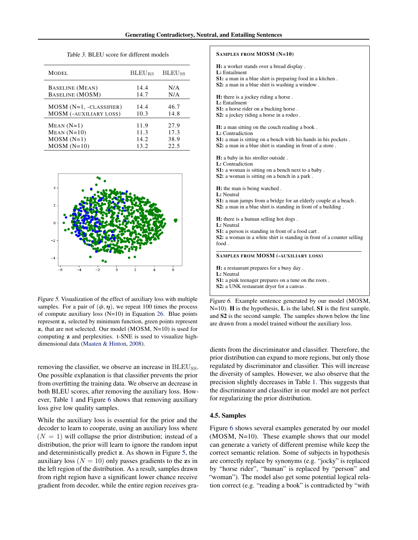<span id="page-6-0"></span>

| MODEL.                    | <b>BLEU<sub>RS</sub></b> | <b>BLEU<sub>SS</sub></b> |
|---------------------------|--------------------------|--------------------------|
| <b>BASELINE</b> (MEAN)    | 14.4                     | N/A                      |
| <b>BASELINE (MOSM)</b>    | 14.7                     | N/A                      |
| $MOSM (N=1, -CLASSIFIER)$ | 14.4                     | 46.7                     |
| MOSM (-AUXILIARY LOSS)    | 10.3                     | 14.8                     |
| $MEAN (N=1)$              | 11.9                     | 27.9                     |
| $MEAN (N=10)$             | 11.3                     | 17.3                     |
| $MOSM(N=1)$               | 14.2.                    | 38.9                     |
| $MOSM(N=10)$              | 13.2                     | 22.5                     |

Table 3. BLEU score for different models



Figure 5. Visualization of the effect of auxiliary loss with multiple samples. For a pair of  $(\phi, \eta)$ , we repeat 100 times the process of compute auxiliary loss (N=10) in Equation [26.](#page-3-0) Blue points represent  $z_i$  selected by minimum function, green points represent  $z_i$  that are not selected. Our model (MOSM, N=10) is used for computing z and perplexities. t-SNE is used to visualize highdimensional data [\(Maaten & Hinton,](#page-8-0) [2008\)](#page-8-0).

removing the classifier, we observe an increase in BLEU<sub>SS</sub>. One possible explanation is that classifier prevents the prior from overfitting the training data. We observe an decrease in both BLEU scores, after removing the auxiliary loss. However, Table [1](#page-4-0) and Figure 6 shows that removing auxiliary loss give low quality samples.

While the auxiliary loss is essential for the prior and the decoder to learn to cooperate, using an auxiliary loss where  $(N = 1)$  will collapse the prior distribution; instead of a distribution, the prior will learn to ignore the random input and deterministically predict z. As shown in Figure 5, the auxiliary loss ( $N = 10$ ) only passes gradients to the zs in the left region of the distribution. As a result, samples drawn from right region have a significant lower chance receive gradient from decoder, while the entire region receives gra-

#### SAMPLES FROM MOSM (N=10)

H: a worker stands over a bread display .

L: Entailment

- S1: a man in a blue shirt is preparing food in a kitchen .
- S2: a man in a blue shirt is washing a window .

H: there is a jockey riding a horse.

- L: Entailment
- S1: a horse rider on a bucking horse .
- S2: a jockey riding a horse in a rodeo.

H: a man sitting on the couch reading a book . L: Contradiction

S1: a man is sitting on a bench with his hands in his pockets. S2: a man in a blue shirt is standing in front of a store.

H: a baby in his stroller outside .

L: Contradiction

- S1: a woman is sitting on a bench next to a baby.
- S2: a woman is sitting on a bench in a park .

H: the man is being watched .

L: Neutral

S1: a man jumps from a bridge for an elderly couple at a beach . S2: a man in a blue shirt is standing in front of a building .

H: there is a human selling hot dogs .

L: Neutral

S1: a person is standing in front of a food cart.

S2: a woman in a white shirt is standing in front of a counter selling food .

SAMPLES FROM MOSM (-AUXILIARY LOSS)

H: a restaurant prepares for a busy day . L: Neutral S1: a pink teenager prepares on a tune on the roots.

S2: a UNK restaurant dryer for a canvas.

Figure 6. Example sentence generated by our model (MOSM, N=10). H is the hypothesis, L is the label, S1 is the first sample, and S2 is the second sample. The samples shown below the line are drawn from a model trained without the auxiliary loss.

dients from the discriminator and classifier. Therefore, the prior distribution can expand to more regions, but only those regulated by discriminator and classifier. This will increase the diversity of samples. However, we also observe that the precision slightly decreases in Table [1.](#page-4-0) This suggests that the discriminator and classifier in our model are not perfect for regularizing the prior distribution.

#### 4.5. Samples

Figure 6 shows several examples generated by our model (MOSM, N=10). These example shows that our model can generate a variety of different premise while keep the correct semantic relation. Some of subjects in hypothesis are correctly replace by synonyms (e.g. "jocky" is replaced by "horse rider", "human" is replaced by "person" and "woman"). The model also get some potential logical relation correct (e.g. "reading a book" is contradicted by "with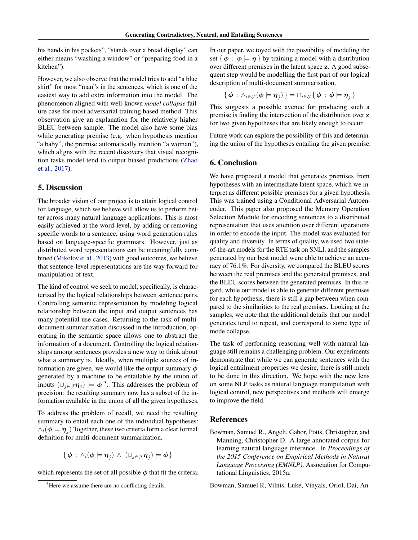<span id="page-7-0"></span>his hands in his pockets", "stands over a bread display" can either means "washing a window" or "preparing food in a kitchen").

However, we also observe that the model tries to add "a blue shirt" for most "man"s in the sentences, which is one of the easiest way to add extra information into the model. The phenomenon aligned with well-known *model collapse* failure case for most adversarial training based method. This observation give an explanation for the relatively higher BLEU between sample. The model also have some bias while generating premise (e.g. when hypothesis mention "a baby", the premise automatically mention "a woman"), which aligns with the recent discovery that visual recognition tasks model tend to output biased predictions [\(Zhao](#page-8-0) [et al.,](#page-8-0) [2017\)](#page-8-0).

# 5. Discussion

The broader vision of our project is to attain logical control for language, which we believe will allow us to perform better across many natural language applications. This is most easily achieved at the word-level, by adding or removing specific words to a sentence, using word generation rules based on language-specific grammars. However, just as distributed word representations can be meaningfully combined [\(Mikolov et al.,](#page-8-0) [2013\)](#page-8-0) with good outcomes, we believe that sentence-level representations are the way forward for manipulation of text.

The kind of control we seek to model, specifically, is characterized by the logical relationships between sentence pairs. Controlling semantic representation by modeling logical relationship between the input and output sentences has many potential use cases. Returning to the task of multidocument summarization discussed in the introduction, operating in the semantic space allows one to abstract the information of a document. Controlling the logical relationships among sentences provides a new way to think about what a summary is. Ideally, when multiple sources of information are given, we would like the output summary  $\phi$ generated by a machine to be entailable by the union of inputs  $(\cup_{j\in\mathcal{J}} \eta_j) \models \phi^{3}$ . This addresses the problem of precision: the resulting summary now has a subset of the information available in the union of all the given hypotheses.

To address the problem of recall, we need the resulting summary to entail each one of the individual hypotheses:  $\wedge_i(\boldsymbol \phi \models \boldsymbol \eta_j)$  Together, these two criteria form a clear formal definition for multi-document summarization,

$$
\{\phi : \wedge_i(\phi \models \eta_j) \wedge (\cup_{j \in \mathcal{J}} \eta_j) \models \phi\}
$$

which represents the set of all possible  $\phi$  that fit the criteria.

In our paper, we toyed with the possibility of modeling the set {  $\phi$  :  $\phi$  |=  $\eta$  } by training a model with a distribution over different premises in the latent space z. A good subsequent step would be modelling the first part of our logical description of multi-document summarisation,

$$
\{\phi\,:\,\wedge_{i\in\mathcal{J}}(\phi\models\eta_j)\}=\cap_{i\in\mathcal{J}}\{\phi\,:\,\phi\models\eta_j\,\}
$$

This suggests a possible avenue for producing such a premise is finding the intersection of the distribution over z for two given hypotheses that are likely enough to occur.

Future work can explore the possibility of this and determining the union of the hypotheses entailing the given premise.

# 6. Conclusion

We have proposed a model that generates premises from hypotheses with an intermediate latent space, which we interpret as different possible premises for a given hypothesis. This was trained using a Conditional Adversarial Autoencoder. This paper also proposed the Memory Operation Selection Module for encoding sentences to a distributed representation that uses attention over different operations in order to encode the input. The model was evaluated for quality and diversity. In terms of quality, we used two stateof-the-art models for the RTE task on SNLI, and the samples generated by our best model were able to achieve an accuracy of 76.1%. For diversity, we compared the BLEU scores between the real premises and the generated premises, and the BLEU scores between the generated premises. In this regard, while our model is able to generate different premises for each hypothesis, there is still a gap between when compared to the similarities to the real premises. Looking at the samples, we note that the additional details that our model generates tend to repeat, and correspond to some type of mode collapse.

The task of performing reasoning well with natural language still remains a challenging problem. Our experiments demonstrate that while we can generate sentences with the logical entailment properties we desire, there is still much to be done in this direction. We hope with the new lens on some NLP tasks as natural language manipulation with logical control, new perspectives and methods will emerge to improve the field.

## References

Bowman, Samuel R., Angeli, Gabor, Potts, Christopher, and Manning, Christopher D. A large annotated corpus for learning natural language inference. In *Proceedings of the 2015 Conference on Empirical Methods in Natural Language Processing (EMNLP)*. Association for Computational Linguistics, 2015a.

Bowman, Samuel R, Vilnis, Luke, Vinyals, Oriol, Dai, An-

<sup>&</sup>lt;sup>3</sup>Here we assume there are no conflicting details.